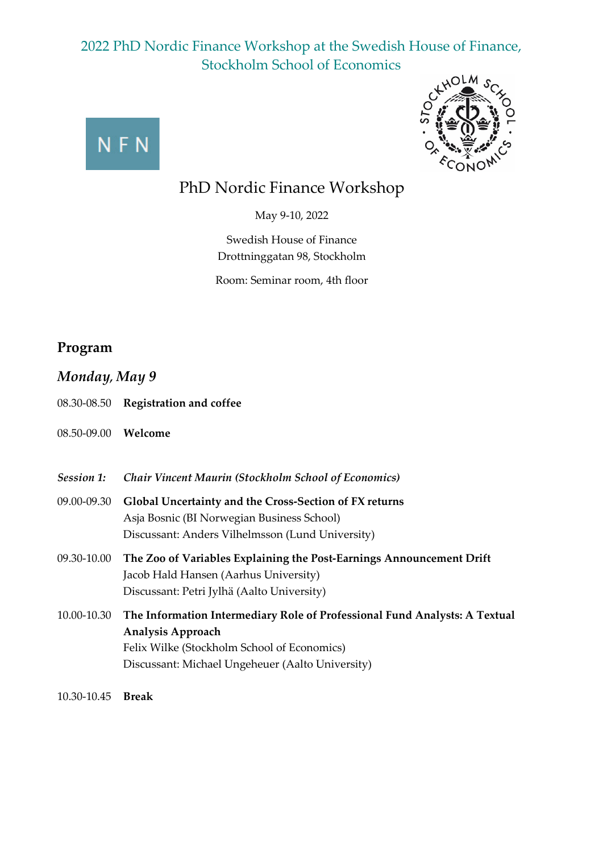



## PhD Nordic Finance Workshop

May 9-10, 2022

Swedish House of Finance Drottninggatan 98, Stockholm

Room: Seminar room, 4th floor

#### **Program**

*Monday, May 9*

- 08.30-08.50 **Registration and coffee**
- 08.50-09.00 **Welcome**
- *Session 1: Chair Vincent Maurin (Stockholm School of Economics)*
- 09.00-09.30 **Global Uncertainty and the Cross-Section of FX returns** Asja Bosnic (BI Norwegian Business School) Discussant: Anders Vilhelmsson (Lund University)
- 09.30-10.00 **The Zoo of Variables Explaining the Post-Earnings Announcement Drift** Jacob Hald Hansen (Aarhus University) Discussant: Petri Jylhä (Aalto University)
- 10.00-10.30 **The Information Intermediary Role of Professional Fund Analysts: A Textual Analysis Approach** Felix Wilke (Stockholm School of Economics) Discussant: Michael Ungeheuer (Aalto University)
- 10.30-10.45 **Break**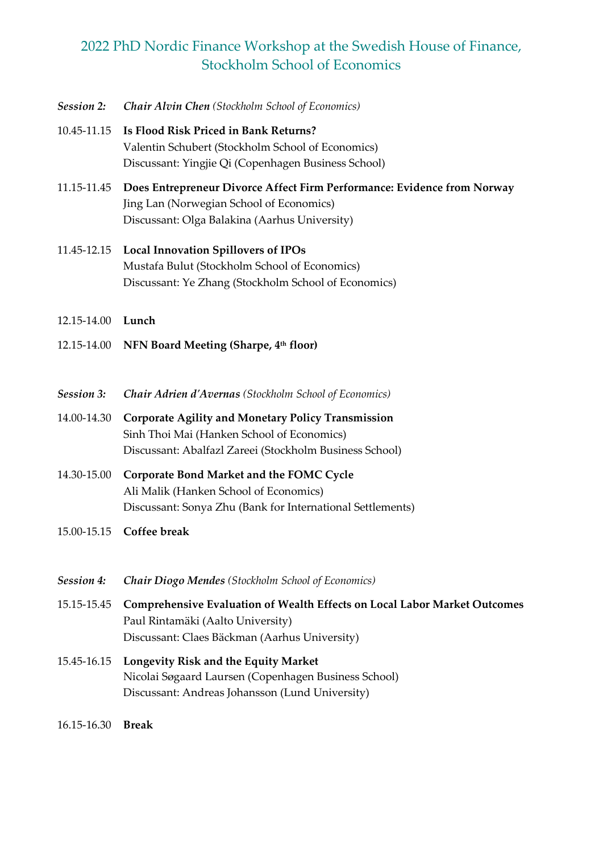- *Session 2: Chair Alvin Chen (Stockholm School of Economics)*
- 10.45-11.15 **Is Flood Risk Priced in Bank Returns?** Valentin Schubert (Stockholm School of Economics) Discussant: Yingjie Qi (Copenhagen Business School)
- 11.15-11.45 **Does Entrepreneur Divorce Affect Firm Performance: Evidence from Norway** Jing Lan (Norwegian School of Economics) Discussant: Olga Balakina (Aarhus University)
- 11.45-12.15 **Local Innovation Spillovers of IPOs** Mustafa Bulut (Stockholm School of Economics) Discussant: Ye Zhang (Stockholm School of Economics)
- 12.15-14.00 **Lunch**
- 12.15-14.00 **NFN Board Meeting (Sharpe, 4th floor)**
- *Session 3: Chair Adrien d'Avernas (Stockholm School of Economics)*
- 14.00-14.30 **Corporate Agility and Monetary Policy Transmission** Sinh Thoi Mai (Hanken School of Economics) Discussant: Abalfazl Zareei (Stockholm Business School)
- 14.30-15.00 **Corporate Bond Market and the FOMC Cycle** Ali Malik (Hanken School of Economics) Discussant: Sonya Zhu (Bank for International Settlements)
- 15.00-15.15 **Coffee break**

| <b>Session 4:</b> | <b>Chair Diogo Mendes</b> (Stockholm School of Economics)                                                                                                              |
|-------------------|------------------------------------------------------------------------------------------------------------------------------------------------------------------------|
| 15.15-15.45       | <b>Comprehensive Evaluation of Wealth Effects on Local Labor Market Outcomes</b><br>Paul Rintamäki (Aalto University)<br>Discussant: Claes Bäckman (Aarhus University) |
|                   | 15.45-16.15 Longevity Risk and the Equity Market<br>Nicolai Søgaard Laursen (Copenhagen Business School)<br>Discussant: Andreas Johansson (Lund University)            |

16.15-16.30 **Break**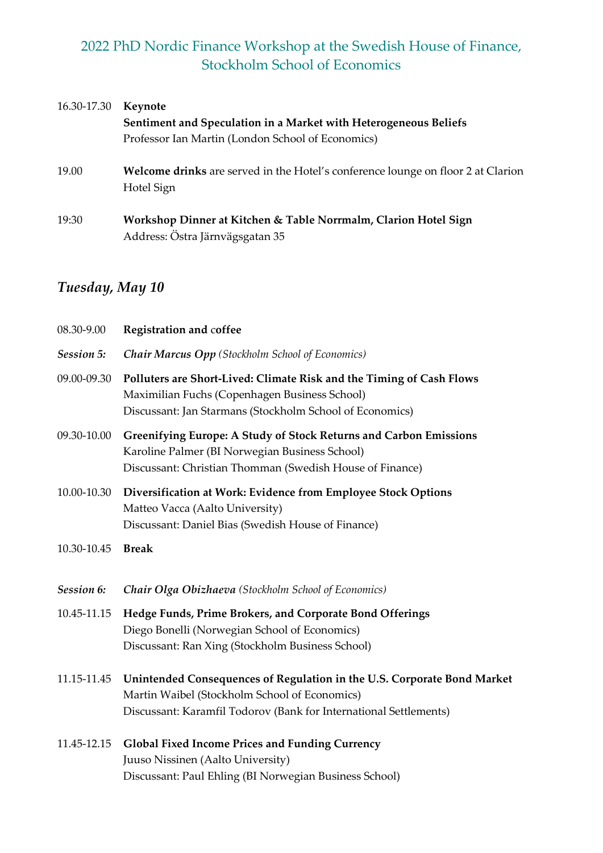| 16.30-17.30 | Keynote                                                                                               |
|-------------|-------------------------------------------------------------------------------------------------------|
|             | Sentiment and Speculation in a Market with Heterogeneous Beliefs                                      |
|             | Professor Ian Martin (London School of Economics)                                                     |
| 19.00       | <b>Welcome drinks</b> are served in the Hotel's conference lounge on floor 2 at Clarion<br>Hotel Sign |
| 19:30       | Workshop Dinner at Kitchen & Table Norrmalm, Clarion Hotel Sign<br>Address: Östra Järnvägsgatan 35    |

# *Tuesday, May 10*

| 08.30-9.00  | <b>Registration and coffee</b>                                                                                                                                                                |
|-------------|-----------------------------------------------------------------------------------------------------------------------------------------------------------------------------------------------|
| Session 5:  | <b>Chair Marcus Opp</b> (Stockholm School of Economics)                                                                                                                                       |
| 09.00-09.30 | Polluters are Short-Lived: Climate Risk and the Timing of Cash Flows<br>Maximilian Fuchs (Copenhagen Business School)<br>Discussant: Jan Starmans (Stockholm School of Economics)             |
| 09.30-10.00 | Greenifying Europe: A Study of Stock Returns and Carbon Emissions<br>Karoline Palmer (BI Norwegian Business School)<br>Discussant: Christian Thomman (Swedish House of Finance)               |
| 10.00-10.30 | Diversification at Work: Evidence from Employee Stock Options<br>Matteo Vacca (Aalto University)<br>Discussant: Daniel Bias (Swedish House of Finance)                                        |
| 10.30-10.45 | <b>Break</b>                                                                                                                                                                                  |
| Session 6:  | Chair Olga Obizhaeva (Stockholm School of Economics)                                                                                                                                          |
| 10.45-11.15 | Hedge Funds, Prime Brokers, and Corporate Bond Offerings<br>Diego Bonelli (Norwegian School of Economics)<br>Discussant: Ran Xing (Stockholm Business School)                                 |
| 11.15-11.45 | Unintended Consequences of Regulation in the U.S. Corporate Bond Market<br>Martin Waibel (Stockholm School of Economics)<br>Discussant: Karamfil Todorov (Bank for International Settlements) |
| 11.45-12.15 | <b>Global Fixed Income Prices and Funding Currency</b><br>Juuso Nissinen (Aalto University)                                                                                                   |

Discussant: Paul Ehling (BI Norwegian Business School)